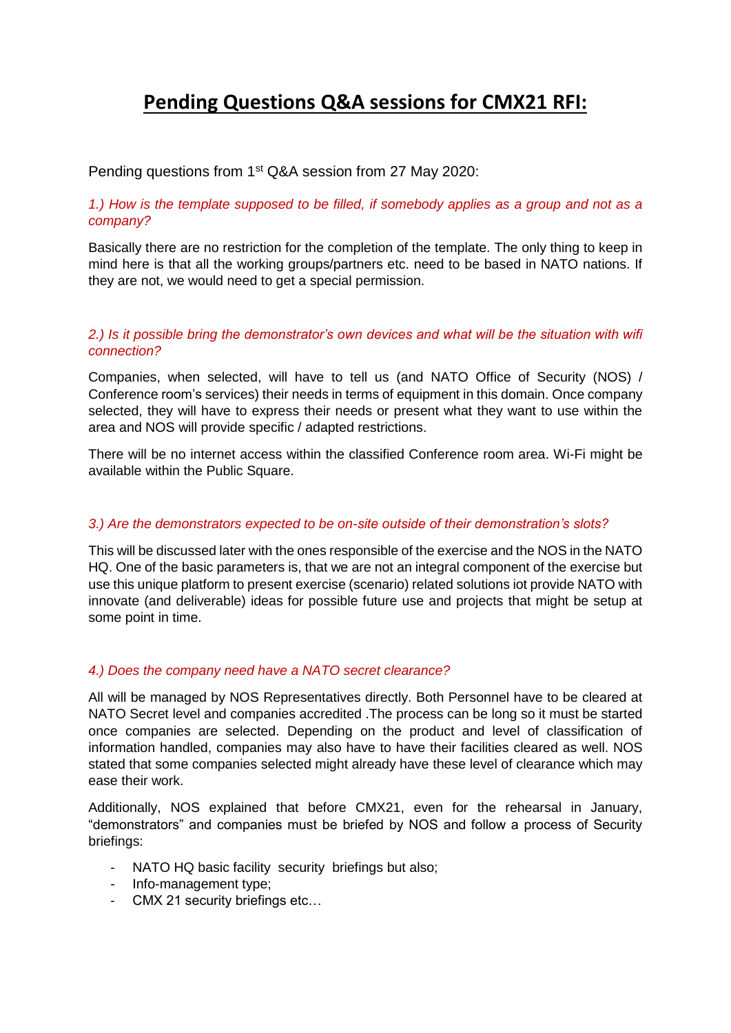# **Pending Questions Q&A sessions for CMX21 RFI:**

# Pending questions from 1<sup>st</sup> Q&A session from 27 May 2020:

# *1.) How is the template supposed to be filled, if somebody applies as a group and not as a company?*

Basically there are no restriction for the completion of the template. The only thing to keep in mind here is that all the working groups/partners etc. need to be based in NATO nations. If they are not, we would need to get a special permission.

# *2.) Is it possible bring the demonstrator's own devices and what will be the situation with wifi connection?*

Companies, when selected, will have to tell us (and NATO Office of Security (NOS) / Conference room's services) their needs in terms of equipment in this domain. Once company selected, they will have to express their needs or present what they want to use within the area and NOS will provide specific / adapted restrictions.

There will be no internet access within the classified Conference room area. Wi-Fi might be available within the Public Square.

# *3.) Are the demonstrators expected to be on-site outside of their demonstration's slots?*

This will be discussed later with the ones responsible of the exercise and the NOS in the NATO HQ. One of the basic parameters is, that we are not an integral component of the exercise but use this unique platform to present exercise (scenario) related solutions iot provide NATO with innovate (and deliverable) ideas for possible future use and projects that might be setup at some point in time.

# *4.) Does the company need have a NATO secret clearance?*

All will be managed by NOS Representatives directly. Both Personnel have to be cleared at NATO Secret level and companies accredited .The process can be long so it must be started once companies are selected. Depending on the product and level of classification of information handled, companies may also have to have their facilities cleared as well. NOS stated that some companies selected might already have these level of clearance which may ease their work.

Additionally, NOS explained that before CMX21, even for the rehearsal in January, "demonstrators" and companies must be briefed by NOS and follow a process of Security briefings:

- NATO HQ basic facility security briefings but also;
- Info-management type;
- CMX 21 security briefings etc…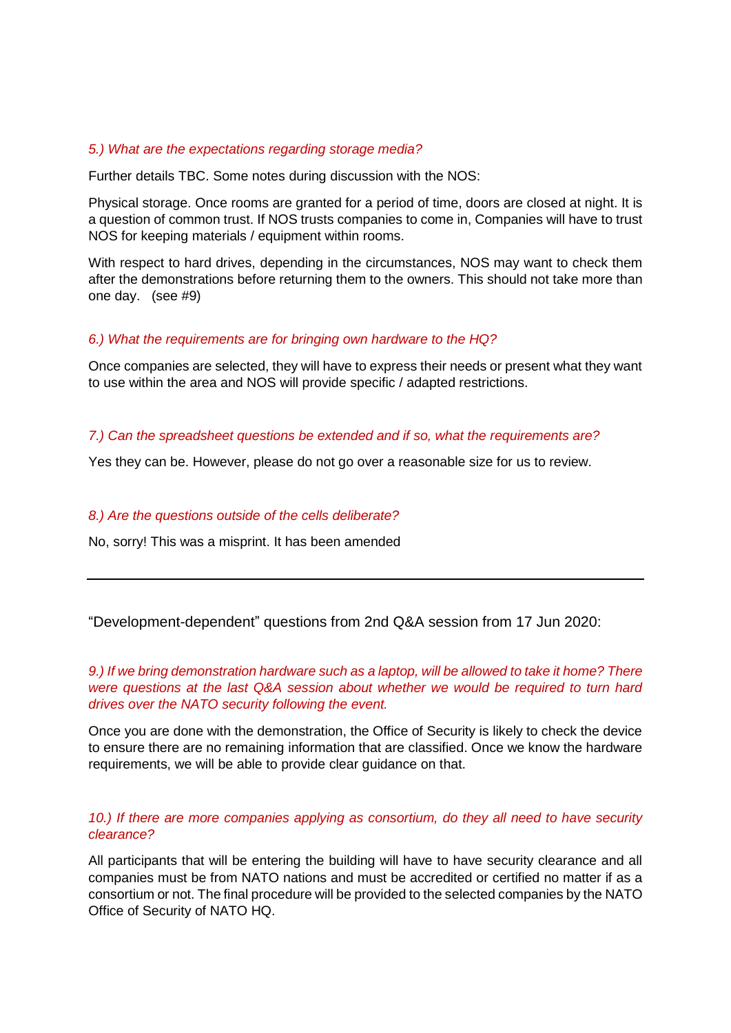#### *5.) What are the expectations regarding storage media?*

Further details TBC. Some notes during discussion with the NOS:

Physical storage. Once rooms are granted for a period of time, doors are closed at night. It is a question of common trust. If NOS trusts companies to come in, Companies will have to trust NOS for keeping materials / equipment within rooms.

With respect to hard drives, depending in the circumstances, NOS may want to check them after the demonstrations before returning them to the owners. This should not take more than one day. (see #9)

# *6.) What the requirements are for bringing own hardware to the HQ?*

Once companies are selected, they will have to express their needs or present what they want to use within the area and NOS will provide specific / adapted restrictions.

# *7.) Can the spreadsheet questions be extended and if so, what the requirements are?*

Yes they can be. However, please do not go over a reasonable size for us to review.

#### *8.) Are the questions outside of the cells deliberate?*

No, sorry! This was a misprint. It has been amended

"Development-dependent" questions from 2nd Q&A session from 17 Jun 2020:

*9.) If we bring demonstration hardware such as a laptop, will be allowed to take it home? There were questions at the last Q&A session about whether we would be required to turn hard drives over the NATO security following the event.*

Once you are done with the demonstration, the Office of Security is likely to check the device to ensure there are no remaining information that are classified. Once we know the hardware requirements, we will be able to provide clear guidance on that.

# *10.) If there are more companies applying as consortium, do they all need to have security clearance?*

All participants that will be entering the building will have to have security clearance and all companies must be from NATO nations and must be accredited or certified no matter if as a consortium or not. The final procedure will be provided to the selected companies by the NATO Office of Security of NATO HQ.